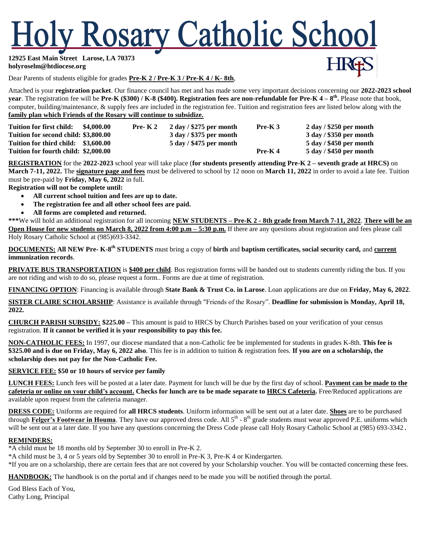# ly Rosary Catholic School

**12925 East Main Street Larose, LA 70373 [holyroselm@htdiocese.org](mailto:holyroselm@htdiocese.org)**

Dear Parents of students eligible for grades **Pre-K 2 / Pre-K 3 / Pre-K 4 / K- 8th**,

Attached is your **registration packet**. Our finance council has met and has made some very important decisions concerning our **2022-2023 school year**. The registration fee will be **Pre-K (\$300) / K-8 (\$400). Registration fees are non-refundable for Pre-K 4 – 8 th .** Please note that book, computer, building/maintenance, & supply fees are included in the registration fee. Tuition and registration fees are listed below along with the **family plan which Friends of the Rosary will continue to subsidize.**

| Tuition for first child: \$4,000.00  | Pre- $K2$ | $2 \text{ day} / $275 \text{ per month}$ | $Pre-K3$  | $2 \text{ day} / $250 \text{ per month}$ |
|--------------------------------------|-----------|------------------------------------------|-----------|------------------------------------------|
| Tuition for second child: \$3,800.00 |           | $3$ day / \$375 per month                |           | $3$ day / \$350 per month                |
| Tuition for third child: \$3,600.00  |           | $5 \text{ day} / $475 \text{ per month}$ |           | $5 \text{ day} / $450 \text{ per month}$ |
| Tuition for fourth child: \$2,000.00 |           |                                          | $Pre-K 4$ | $5$ day / \$450 per month                |

**REGISTRATION** for the **2022-2023** school year will take place (**for students presently attending Pre-K 2 – seventh grade at HRCS)** on **March 7-11, 2022.** The **signature page and fees** must be delivered to school by 12 noon on **March 11, 2022** in order to avoid a late fee. Tuition must be pre-paid by **Friday, May 6, 2022** in full.

**Registration will not be complete until:**

- **All current school tuition and fees are up to date.**
- **The registration fee and all other school fees are paid.**
- **All forms are completed and returned.**

**\*\*\***We will hold an additional registration for all incoming **NEW STUDENTS – Pre-K 2 - 8th grade from March 7-11, 2022**. **There will be an Open House for new students on March 8, 2022 from 4:00 p.m – 5:30 p.m.** If there are any questions about registration and fees please call Holy Rosary Catholic School at (985)693-3342.

**DOCUMENTS: All NEW Pre- K-8 th STUDENTS** must bring a copy of **birth** and **baptism certificates, social security card,** and **current immunization records**.

**PRIVATE BUS TRANSPORTATION** is \$400 per child. Bus registration forms will be handed out to students currently riding the bus. If you are not riding and wish to do so, please request a form.. Forms are due at time of registration.

**FINANCING OPTION**: Financing is available through **State Bank & Trust Co. in Larose**. Loan applications are due on **Friday, May 6, 2022**.

**SISTER CLAIRE SCHOLARSHIP**: Assistance is available through "Friends of the Rosary". **Deadline for submission is Monday, April 18, 2022.**

**CHURCH PARISH SUBSIDY: \$225.00 –** This amount is paid to HRCS by Church Parishes based on your verification of your census registration. **If it cannot be verified it is your responsibility to pay this fee.**

**NON-CATHOLIC FEES:** In 1997, our diocese mandated that a non-Catholic fee be implemented for students in grades K-8th. **This fee is \$325.00 and is due on Friday, May 6, 2022 also**. This fee is in addition to tuition & registration fees. **If you are on a scholarship, the scholarship does not pay for the Non-Catholic Fee.**

### **SERVICE FEE: \$50 or 10 hours of service per family**

**LUNCH FEES:** Lunch fees will be posted at a later date. Payment for lunch will be due by the first day of school. **Payment can be made to the cafeteria or online on your child's account. Checks for lunch are to be made separate to HRCS Cafeteria.** Free/Reduced applications are available upon request from the cafeteria manager.

**DRESS CODE:** Uniforms are required for **all HRCS students**. Uniform information will be sent out at a later date. **Shoes** are to be purchased through Felger's Footwear in Houma. They have our approved dress code. All 5<sup>th</sup> - 8<sup>th</sup> grade students must wear approved P.E. uniforms which will be sent out at a later date. If you have any questions concerning the Dress Code please call Holy Rosary Catholic School at (985) 693-3342.

### **REMINDERS:**

\*A child must be 18 months old by September 30 to enroll in Pre-K 2.

\*A child must be 3, 4 or 5 years old by September 30 to enroll in Pre-K 3, Pre-K 4 or Kindergarten.

\*If you are on a scholarship, there are certain fees that are not covered by your Scholarship voucher. You will be contacted concerning these fees.

**HANDBOOK:** The handbook is on the portal and if changes need to be made you will be notified through the portal.

God Bless Each of You, Cathy Long, Principal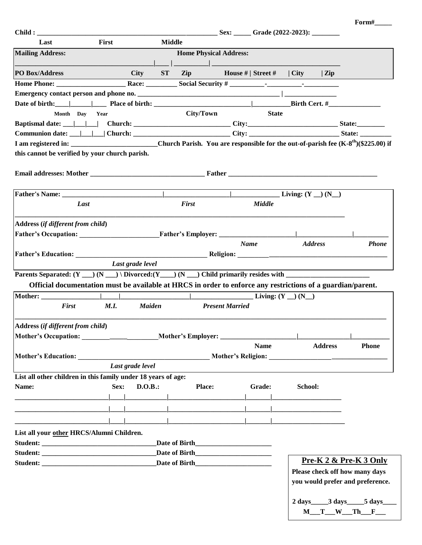|                                                                                                                                                                                                                                      |                  |                   |                                                                                                                                                                                                                                     | Sex: ______ Grade (2022-2023): _________ |               |                           |                |                                                                                                                                                                                                                                |
|--------------------------------------------------------------------------------------------------------------------------------------------------------------------------------------------------------------------------------------|------------------|-------------------|-------------------------------------------------------------------------------------------------------------------------------------------------------------------------------------------------------------------------------------|------------------------------------------|---------------|---------------------------|----------------|--------------------------------------------------------------------------------------------------------------------------------------------------------------------------------------------------------------------------------|
| Last                                                                                                                                                                                                                                 | First            |                   | <b>Middle</b>                                                                                                                                                                                                                       |                                          |               |                           |                |                                                                                                                                                                                                                                |
| <b>Mailing Address:</b>                                                                                                                                                                                                              |                  |                   | <b>Home Physical Address:</b>                                                                                                                                                                                                       |                                          |               |                           |                |                                                                                                                                                                                                                                |
|                                                                                                                                                                                                                                      |                  |                   | <u> La provincia de la contrada de la con</u>                                                                                                                                                                                       |                                          |               |                           |                |                                                                                                                                                                                                                                |
| <b>PO Box/Address</b>                                                                                                                                                                                                                |                  | ST<br><b>City</b> | Zip House #   Street #   City   Zip                                                                                                                                                                                                 |                                          |               |                           |                |                                                                                                                                                                                                                                |
|                                                                                                                                                                                                                                      |                  |                   |                                                                                                                                                                                                                                     |                                          |               |                           |                |                                                                                                                                                                                                                                |
|                                                                                                                                                                                                                                      |                  |                   |                                                                                                                                                                                                                                     |                                          |               |                           |                |                                                                                                                                                                                                                                |
| Date of birth: $\Box$ Place of birth: $\Box$ Place of birth: $\Box$ Birth Cert. #                                                                                                                                                    |                  |                   |                                                                                                                                                                                                                                     |                                          |               |                           |                |                                                                                                                                                                                                                                |
| Month Day Year                                                                                                                                                                                                                       |                  |                   | City/Town                                                                                                                                                                                                                           |                                          | <b>State</b>  |                           |                |                                                                                                                                                                                                                                |
|                                                                                                                                                                                                                                      |                  |                   |                                                                                                                                                                                                                                     |                                          |               |                           |                |                                                                                                                                                                                                                                |
|                                                                                                                                                                                                                                      |                  |                   |                                                                                                                                                                                                                                     |                                          |               |                           |                |                                                                                                                                                                                                                                |
| I am registered in: _______________________________Church Parish. You are responsible for the out-of-parish fee $(K-8th)($225.00)$ if                                                                                                |                  |                   |                                                                                                                                                                                                                                     |                                          |               |                           |                |                                                                                                                                                                                                                                |
| this cannot be verified by your church parish.                                                                                                                                                                                       |                  |                   |                                                                                                                                                                                                                                     |                                          |               |                           |                |                                                                                                                                                                                                                                |
|                                                                                                                                                                                                                                      |                  |                   |                                                                                                                                                                                                                                     |                                          |               |                           |                |                                                                                                                                                                                                                                |
|                                                                                                                                                                                                                                      |                  |                   |                                                                                                                                                                                                                                     |                                          |               |                           |                |                                                                                                                                                                                                                                |
|                                                                                                                                                                                                                                      |                  |                   |                                                                                                                                                                                                                                     |                                          |               |                           |                |                                                                                                                                                                                                                                |
|                                                                                                                                                                                                                                      |                  |                   |                                                                                                                                                                                                                                     |                                          |               |                           |                |                                                                                                                                                                                                                                |
| Last                                                                                                                                                                                                                                 |                  |                   | <b>First</b>                                                                                                                                                                                                                        |                                          | <b>Middle</b> |                           |                |                                                                                                                                                                                                                                |
|                                                                                                                                                                                                                                      |                  |                   |                                                                                                                                                                                                                                     |                                          |               |                           |                |                                                                                                                                                                                                                                |
| Address (if different from child)                                                                                                                                                                                                    |                  |                   |                                                                                                                                                                                                                                     |                                          |               |                           |                |                                                                                                                                                                                                                                |
|                                                                                                                                                                                                                                      |                  |                   |                                                                                                                                                                                                                                     |                                          |               |                           |                |                                                                                                                                                                                                                                |
|                                                                                                                                                                                                                                      |                  |                   |                                                                                                                                                                                                                                     | <b>Name</b>                              |               |                           | <b>Address</b> | <b>Phone</b>                                                                                                                                                                                                                   |
|                                                                                                                                                                                                                                      |                  |                   |                                                                                                                                                                                                                                     |                                          |               |                           |                |                                                                                                                                                                                                                                |
|                                                                                                                                                                                                                                      | Last grade level |                   |                                                                                                                                                                                                                                     |                                          |               |                           |                |                                                                                                                                                                                                                                |
|                                                                                                                                                                                                                                      |                  |                   |                                                                                                                                                                                                                                     |                                          |               |                           |                |                                                                                                                                                                                                                                |
|                                                                                                                                                                                                                                      |                  |                   |                                                                                                                                                                                                                                     |                                          |               |                           |                |                                                                                                                                                                                                                                |
|                                                                                                                                                                                                                                      |                  |                   |                                                                                                                                                                                                                                     |                                          |               |                           |                |                                                                                                                                                                                                                                |
| Official documentation must be available at HRCS in order to enforce any restrictions of a guardian/parent.                                                                                                                          |                  |                   |                                                                                                                                                                                                                                     |                                          |               |                           |                |                                                                                                                                                                                                                                |
| Mother: <u>Andreas and the second second in the second second in the second second in the second in the second second in the second second in the second in the second in the second in the second in the second in the second i</u> |                  |                   |                                                                                                                                                                                                                                     |                                          |               | $\_$ Living: $(Y \_) (N)$ |                |                                                                                                                                                                                                                                |
| First                                                                                                                                                                                                                                | <b>M.I.</b>      | <b>Maiden</b>     |                                                                                                                                                                                                                                     | <b>Present Married</b>                   |               |                           |                |                                                                                                                                                                                                                                |
|                                                                                                                                                                                                                                      |                  |                   |                                                                                                                                                                                                                                     |                                          |               |                           |                |                                                                                                                                                                                                                                |
| Address (if different from child)                                                                                                                                                                                                    |                  |                   |                                                                                                                                                                                                                                     |                                          |               |                           |                |                                                                                                                                                                                                                                |
|                                                                                                                                                                                                                                      |                  |                   | Mother's Employer: __                                                                                                                                                                                                               |                                          |               |                           |                |                                                                                                                                                                                                                                |
|                                                                                                                                                                                                                                      |                  |                   |                                                                                                                                                                                                                                     |                                          | <b>Name</b>   |                           | <b>Address</b> | <b>Phone</b>                                                                                                                                                                                                                   |
|                                                                                                                                                                                                                                      |                  |                   |                                                                                                                                                                                                                                     |                                          |               |                           |                | Mother's Religion: The Contract of The Contract of The Contract of The Contract of The Contract of The Contract of The Contract of The Contract of The Contract of The Contract of The Contract of The Contract of The Contrac |
|                                                                                                                                                                                                                                      | Last grade level |                   |                                                                                                                                                                                                                                     |                                          |               |                           |                |                                                                                                                                                                                                                                |
| List all other children in this family under 18 years of age:                                                                                                                                                                        |                  |                   |                                                                                                                                                                                                                                     |                                          |               |                           |                |                                                                                                                                                                                                                                |
| Name:                                                                                                                                                                                                                                | Sex:             | D.O.B.:           | Place:                                                                                                                                                                                                                              |                                          | Grade:        | School:                   |                |                                                                                                                                                                                                                                |
|                                                                                                                                                                                                                                      |                  |                   |                                                                                                                                                                                                                                     |                                          |               |                           |                |                                                                                                                                                                                                                                |
|                                                                                                                                                                                                                                      |                  |                   | <u> 1989 - Jan Barnett, fransk politik (d. 1989)</u>                                                                                                                                                                                |                                          |               |                           |                |                                                                                                                                                                                                                                |
|                                                                                                                                                                                                                                      |                  |                   |                                                                                                                                                                                                                                     |                                          |               |                           |                |                                                                                                                                                                                                                                |
| List all your other HRCS/Alumni Children.                                                                                                                                                                                            |                  |                   |                                                                                                                                                                                                                                     |                                          |               |                           |                |                                                                                                                                                                                                                                |
|                                                                                                                                                                                                                                      |                  |                   |                                                                                                                                                                                                                                     |                                          |               |                           |                |                                                                                                                                                                                                                                |
|                                                                                                                                                                                                                                      |                  |                   |                                                                                                                                                                                                                                     |                                          |               |                           |                |                                                                                                                                                                                                                                |
|                                                                                                                                                                                                                                      |                  |                   | Date of Birth <b>Exercise 2</b> and 2 and 2 and 2 and 2 and 2 and 2 and 2 and 2 and 2 and 2 and 2 and 2 and 2 and 2 and 2 and 2 and 2 and 2 and 2 and 2 and 2 and 2 and 2 and 2 and 2 and 2 and 2 and 2 and 2 and 2 and 2 and 2 and |                                          |               |                           |                | <u>Pre-K 2 &amp; Pre-K 3 Only</u>                                                                                                                                                                                              |
|                                                                                                                                                                                                                                      |                  |                   |                                                                                                                                                                                                                                     |                                          |               |                           |                | Please check off how many days                                                                                                                                                                                                 |
|                                                                                                                                                                                                                                      |                  |                   |                                                                                                                                                                                                                                     |                                          |               |                           |                | you would prefer and preference.                                                                                                                                                                                               |
|                                                                                                                                                                                                                                      |                  |                   |                                                                                                                                                                                                                                     |                                          |               |                           |                |                                                                                                                                                                                                                                |
|                                                                                                                                                                                                                                      |                  |                   |                                                                                                                                                                                                                                     |                                          |               |                           |                | 2 days _______ 3 days _______ 5 days ______                                                                                                                                                                                    |

**Form#\_\_\_\_\_**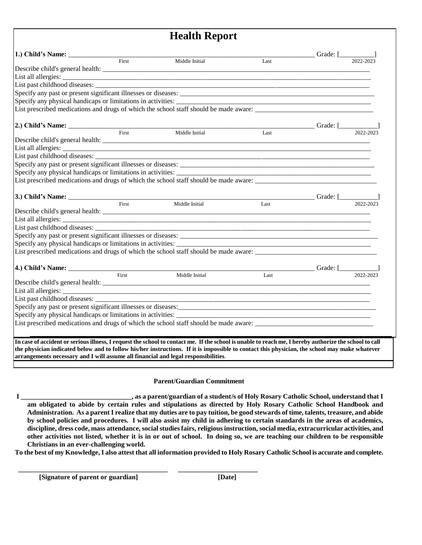## **Health Report**

|                                                                                       |                    |                |                                          | Grade: $\frac{2022-2023}{\frac{2022-2023}{\cdots}}$ |           |
|---------------------------------------------------------------------------------------|--------------------|----------------|------------------------------------------|-----------------------------------------------------|-----------|
|                                                                                       | $\overline{First}$ | Middle Initial | Last                                     |                                                     |           |
|                                                                                       |                    |                |                                          |                                                     |           |
|                                                                                       |                    |                |                                          |                                                     |           |
|                                                                                       |                    |                |                                          |                                                     |           |
|                                                                                       |                    |                |                                          |                                                     |           |
| Specify any physical handicaps or limitations in activities:                          |                    |                |                                          |                                                     |           |
| List prescribed medications and drugs of which the school staff should be made aware: |                    |                |                                          |                                                     |           |
|                                                                                       |                    |                |                                          |                                                     |           |
|                                                                                       |                    |                |                                          | Grade: $\boxed{\phantom{202222231}}$                |           |
|                                                                                       | First              | Middle Initial | Last                                     |                                                     |           |
|                                                                                       |                    |                |                                          |                                                     |           |
|                                                                                       |                    |                |                                          |                                                     |           |
|                                                                                       |                    |                |                                          |                                                     |           |
|                                                                                       |                    |                |                                          |                                                     |           |
| Specify any physical handicaps or limitations in activities:                          |                    |                |                                          |                                                     |           |
| List prescribed medications and drugs of which the school staff should be made aware: |                    |                |                                          |                                                     |           |
|                                                                                       |                    |                |                                          |                                                     |           |
| 3.) Child's Name: First Middle Initial                                                |                    |                | Grade: $\boxed{\qquad \qquad 2022-2023}$ |                                                     |           |
|                                                                                       |                    |                |                                          |                                                     |           |
|                                                                                       |                    |                |                                          |                                                     |           |
|                                                                                       |                    |                |                                          |                                                     |           |
| Specify any past or present significant illnesses or diseases:                        |                    |                |                                          |                                                     |           |
|                                                                                       |                    |                |                                          |                                                     |           |
| List prescribed medications and drugs of which the school staff should be made aware: |                    |                |                                          |                                                     |           |
|                                                                                       |                    |                |                                          |                                                     |           |
|                                                                                       |                    |                |                                          | Grade: $[\_$                                        |           |
|                                                                                       | First              | Middle Initial | Last                                     |                                                     | 2022-2023 |
|                                                                                       |                    |                |                                          |                                                     |           |
|                                                                                       |                    |                |                                          |                                                     |           |
| List past childhood diseases: ___________                                             |                    |                |                                          |                                                     |           |
| Specify any past or present significant illnesses or diseases:                        |                    |                |                                          |                                                     |           |
|                                                                                       |                    |                |                                          |                                                     |           |
|                                                                                       |                    |                |                                          |                                                     |           |
|                                                                                       |                    |                |                                          |                                                     |           |
|                                                                                       |                    |                |                                          |                                                     |           |

## **Parent/Guardian Commitment**

**I \_\_\_\_\_\_\_\_\_\_\_\_\_\_\_\_\_\_\_\_\_\_\_\_\_\_\_\_\_\_\_\_, as a parent/guardian of a student/s of Holy Rosary Catholic School, understand that I am obligated to abide by certain rules and stipulations as directed by Holy Rosary Catholic School Handbook and Administration. As a parent I realize that my duties are to pay tuition, be good stewards of time, talents, treasure, and abide by school policies and procedures. I will also assist my child in adhering to certain standards in the areas of academics, discipline, dress code, mass attendance, social studies fairs, religious instruction, social media, extracurricular activities, and other activities not listed, whether it is in or out of school. In doing so, we are teaching our children to be responsible Christians in an ever-challenging world.**

**To the best of my Knowledge, I also attest that all information provided to Holy Rosary Catholic School is accurate and complete.**